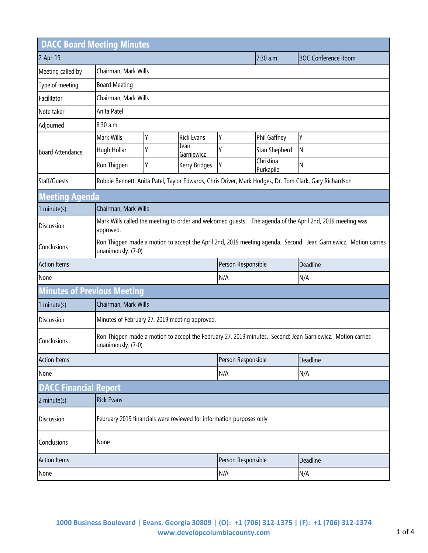| <b>DACC Board Meeting Minutes</b>                     |                                                                                                                                       |                                                                                                                                  |                    |                    |                        |                            |  |
|-------------------------------------------------------|---------------------------------------------------------------------------------------------------------------------------------------|----------------------------------------------------------------------------------------------------------------------------------|--------------------|--------------------|------------------------|----------------------------|--|
| 2-Apr-19                                              |                                                                                                                                       |                                                                                                                                  |                    |                    | 7:30 a.m.              | <b>BOC Conference Room</b> |  |
| Meeting called by                                     | Chairman, Mark Wills                                                                                                                  |                                                                                                                                  |                    |                    |                        |                            |  |
| Type of meeting                                       | <b>Board Meeting</b>                                                                                                                  |                                                                                                                                  |                    |                    |                        |                            |  |
| Facilitator                                           |                                                                                                                                       | Chairman, Mark Wills                                                                                                             |                    |                    |                        |                            |  |
| Note taker                                            | Anita Patel                                                                                                                           |                                                                                                                                  |                    |                    |                        |                            |  |
| Adjourned                                             | 8:30 a.m.                                                                                                                             |                                                                                                                                  |                    |                    |                        |                            |  |
| <b>Board Attendance</b>                               | Mark Wills                                                                                                                            | Υ                                                                                                                                | <b>Rick Evans</b>  | Υ                  | Phil Gaffney           | Υ                          |  |
|                                                       | Hugh Hollar                                                                                                                           | Υ                                                                                                                                | Jean<br>Garniewicz |                    | Stan Shepherd          | N                          |  |
|                                                       | Ron Thigpen                                                                                                                           | Υ                                                                                                                                | Kerry Bridges      | Υ                  | Christina<br>Purkapile | Ν                          |  |
| Staff/Guests                                          | Robbie Bennett, Anita Patel, Taylor Edwards, Chris Driver, Mark Hodges, Dr. Tom Clark, Gary Richardson                                |                                                                                                                                  |                    |                    |                        |                            |  |
| <b>Meeting Agenda</b>                                 |                                                                                                                                       |                                                                                                                                  |                    |                    |                        |                            |  |
| $1$ minute(s)                                         | Chairman, Mark Wills                                                                                                                  |                                                                                                                                  |                    |                    |                        |                            |  |
| <b>Discussion</b>                                     | approved.                                                                                                                             | Mark Wills called the meeting to order and welcomed guests.  The agenda of the April 2nd, 2019 meeting was                       |                    |                    |                        |                            |  |
| Conclusions                                           | Ron Thigpen made a motion to accept the April 2nd, 2019 meeting agenda. Second: Jean Garniewicz. Motion carries<br>unanimously. (7-0) |                                                                                                                                  |                    |                    |                        |                            |  |
| <b>Action Items</b><br>Person Responsible<br>Deadline |                                                                                                                                       |                                                                                                                                  |                    |                    |                        |                            |  |
| None                                                  |                                                                                                                                       |                                                                                                                                  | N/A                |                    | N/A                    |                            |  |
| <b>Minutes of Previous Meeting</b>                    |                                                                                                                                       |                                                                                                                                  |                    |                    |                        |                            |  |
| 1 minute(s)                                           |                                                                                                                                       | Chairman, Mark Wills                                                                                                             |                    |                    |                        |                            |  |
| Discussion                                            |                                                                                                                                       | Minutes of February 27, 2019 meeting approved.                                                                                   |                    |                    |                        |                            |  |
| Conclusions                                           |                                                                                                                                       | Ron Thigpen made a motion to accept the February 27, 2019 minutes. Second: Jean Garniewicz. Motion carries<br>unanimously. (7-0) |                    |                    |                        |                            |  |
| <b>Action Items</b>                                   |                                                                                                                                       |                                                                                                                                  |                    | Person Responsible |                        | Deadline                   |  |
| None                                                  |                                                                                                                                       |                                                                                                                                  | N/A                |                    | N/A                    |                            |  |
| <b>DACC Financial Report</b>                          |                                                                                                                                       |                                                                                                                                  |                    |                    |                        |                            |  |
| 2 minute(s)                                           | <b>Rick Evans</b>                                                                                                                     |                                                                                                                                  |                    |                    |                        |                            |  |
| Discussion                                            | February 2019 financials were reviewed for information purposes only                                                                  |                                                                                                                                  |                    |                    |                        |                            |  |
| Conclusions                                           | None                                                                                                                                  |                                                                                                                                  |                    |                    |                        |                            |  |
| <b>Action Items</b>                                   |                                                                                                                                       |                                                                                                                                  | Person Responsible |                    | Deadline               |                            |  |
| None                                                  |                                                                                                                                       |                                                                                                                                  | N/A                |                    | N/A                    |                            |  |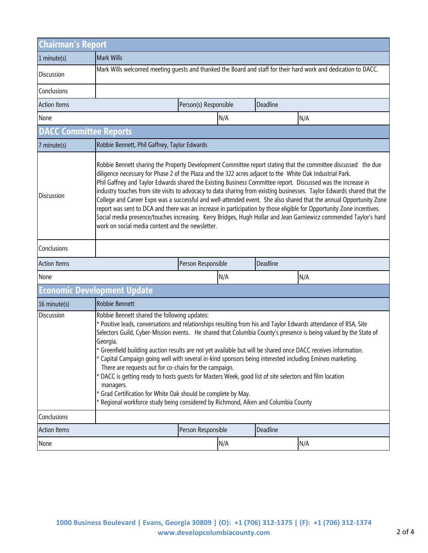| <b>Chairman's Report</b>      |                                                                                                                                                                                                                                                                                                                                                                                                                                                                                                                                                                                                                                                                                                                                                                                                                                                                                           |                       |     |          |     |  |
|-------------------------------|-------------------------------------------------------------------------------------------------------------------------------------------------------------------------------------------------------------------------------------------------------------------------------------------------------------------------------------------------------------------------------------------------------------------------------------------------------------------------------------------------------------------------------------------------------------------------------------------------------------------------------------------------------------------------------------------------------------------------------------------------------------------------------------------------------------------------------------------------------------------------------------------|-----------------------|-----|----------|-----|--|
| $1$ minute(s)                 | <b>Mark Wills</b>                                                                                                                                                                                                                                                                                                                                                                                                                                                                                                                                                                                                                                                                                                                                                                                                                                                                         |                       |     |          |     |  |
| Discussion                    | Mark Wills welcomed meeting quests and thanked the Board and staff for their hard work and dedication to DACC.                                                                                                                                                                                                                                                                                                                                                                                                                                                                                                                                                                                                                                                                                                                                                                            |                       |     |          |     |  |
| Conclusions                   |                                                                                                                                                                                                                                                                                                                                                                                                                                                                                                                                                                                                                                                                                                                                                                                                                                                                                           |                       |     |          |     |  |
| <b>Action Items</b>           |                                                                                                                                                                                                                                                                                                                                                                                                                                                                                                                                                                                                                                                                                                                                                                                                                                                                                           | Person(s) Responsible |     | Deadline |     |  |
| None                          |                                                                                                                                                                                                                                                                                                                                                                                                                                                                                                                                                                                                                                                                                                                                                                                                                                                                                           |                       | N/A |          | N/A |  |
| <b>DACC Committee Reports</b> |                                                                                                                                                                                                                                                                                                                                                                                                                                                                                                                                                                                                                                                                                                                                                                                                                                                                                           |                       |     |          |     |  |
| 7 minute(s)                   | Robbie Bennett, Phil Gaffney, Taylor Edwards                                                                                                                                                                                                                                                                                                                                                                                                                                                                                                                                                                                                                                                                                                                                                                                                                                              |                       |     |          |     |  |
| <b>Discussion</b>             | Robbie Bennett sharing the Property Development Committee report stating that the committee discussed the due<br>diligence necessary for Phase 2 of the Plaza and the 322 acres adjacet to the White Oak Industrial Park.<br>Phil Gaffney and Taylor Edwards shared the Existing Business Committee report. Discussed was the increase in<br>industry touches from site visits to advocacy to data sharing from existing businesses. Taylor Edwards shared that the<br>College and Career Expo was a successful and well-attended event. She also shared that the annual Opportunity Zone<br>report was sent to DCA and there was an increase in participation by those eligible for Opportunity Zone incentives.<br>Social media presence/touches increasing. Kerry Bridges, Hugh Hollar and Jean Garniewicz commended Taylor's hard<br>work on social media content and the newsletter. |                       |     |          |     |  |
| Conclusions                   |                                                                                                                                                                                                                                                                                                                                                                                                                                                                                                                                                                                                                                                                                                                                                                                                                                                                                           |                       |     |          |     |  |
| <b>Action Items</b>           |                                                                                                                                                                                                                                                                                                                                                                                                                                                                                                                                                                                                                                                                                                                                                                                                                                                                                           | Person Responsible    |     | Deadline |     |  |
| None                          |                                                                                                                                                                                                                                                                                                                                                                                                                                                                                                                                                                                                                                                                                                                                                                                                                                                                                           |                       | N/A |          | N/A |  |
|                               | <b>Economic Development Update</b>                                                                                                                                                                                                                                                                                                                                                                                                                                                                                                                                                                                                                                                                                                                                                                                                                                                        |                       |     |          |     |  |
| 16 minute(s)                  | Robbie Bennett                                                                                                                                                                                                                                                                                                                                                                                                                                                                                                                                                                                                                                                                                                                                                                                                                                                                            |                       |     |          |     |  |
| <b>Discussion</b>             | Robbie Bennett shared the following updates:<br>* Positive leads, conversations and relationships resulting from his and Taylor Edwards attendance of RSA, Site<br>Selectors Guild, Cyber-Mission events. He shared that Columbia County's presence is being valued by the State of<br>Georgia.<br>* Greenfield building auction results are not yet available but will be shared once DACC receives information.<br>* Capital Campaign going well with several in-kind sponsors being interested including Emineo marketing.<br>There are requests out for co-chairs for the campaign.<br>* DACC is getting ready to hosts guests for Masters Week, good list of site selectors and film location<br>managers.<br>* Grad Certification for White Oak should be complete by May.<br>* Regional workforce study being considered by Richmond, Aiken and Columbia County                    |                       |     |          |     |  |
| Conclusions                   |                                                                                                                                                                                                                                                                                                                                                                                                                                                                                                                                                                                                                                                                                                                                                                                                                                                                                           |                       |     |          |     |  |
| <b>Action Items</b>           |                                                                                                                                                                                                                                                                                                                                                                                                                                                                                                                                                                                                                                                                                                                                                                                                                                                                                           | Person Responsible    |     | Deadline |     |  |
| None                          |                                                                                                                                                                                                                                                                                                                                                                                                                                                                                                                                                                                                                                                                                                                                                                                                                                                                                           |                       | N/A |          | N/A |  |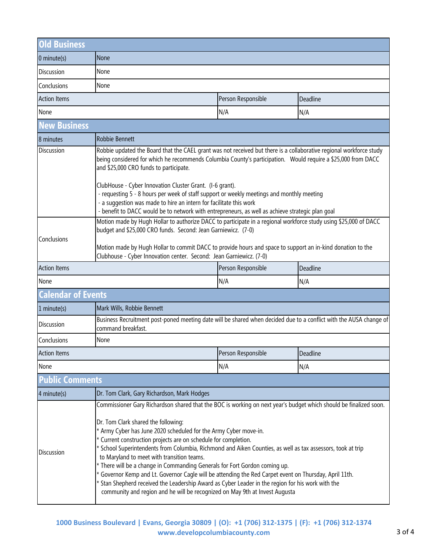| <b>Old Business</b>       |                                                                                                                                                                                                                                                                                                                                                                                                                                                                                                                                                                                                                                                                                                                                                                                                                                          |                    |          |  |  |  |
|---------------------------|------------------------------------------------------------------------------------------------------------------------------------------------------------------------------------------------------------------------------------------------------------------------------------------------------------------------------------------------------------------------------------------------------------------------------------------------------------------------------------------------------------------------------------------------------------------------------------------------------------------------------------------------------------------------------------------------------------------------------------------------------------------------------------------------------------------------------------------|--------------------|----------|--|--|--|
| $0$ minute(s)             | None                                                                                                                                                                                                                                                                                                                                                                                                                                                                                                                                                                                                                                                                                                                                                                                                                                     |                    |          |  |  |  |
| <b>Discussion</b>         | None                                                                                                                                                                                                                                                                                                                                                                                                                                                                                                                                                                                                                                                                                                                                                                                                                                     |                    |          |  |  |  |
| Conclusions               | None                                                                                                                                                                                                                                                                                                                                                                                                                                                                                                                                                                                                                                                                                                                                                                                                                                     |                    |          |  |  |  |
| <b>Action Items</b>       | Person Responsible<br>Deadline                                                                                                                                                                                                                                                                                                                                                                                                                                                                                                                                                                                                                                                                                                                                                                                                           |                    |          |  |  |  |
| None                      |                                                                                                                                                                                                                                                                                                                                                                                                                                                                                                                                                                                                                                                                                                                                                                                                                                          | N/A                | N/A      |  |  |  |
| <b>New Business</b>       |                                                                                                                                                                                                                                                                                                                                                                                                                                                                                                                                                                                                                                                                                                                                                                                                                                          |                    |          |  |  |  |
| 8 minutes                 | Robbie Bennett                                                                                                                                                                                                                                                                                                                                                                                                                                                                                                                                                                                                                                                                                                                                                                                                                           |                    |          |  |  |  |
| Discussion                | Robbie updated the Board that the CAEL grant was not received but there is a collaborative regional workforce study<br>being considered for which he recommends Columbia County's participation. Would require a \$25,000 from DACC<br>and \$25,000 CRO funds to participate.<br>ClubHouse - Cyber Innovation Cluster Grant. (I-6 grant).<br>- requesting 5 - 8 hours per week of staff support or weekly meetings and monthly meeting<br>- a suggestion was made to hire an intern for facilitate this work<br>- benefit to DACC would be to network with entrepreneurs, as well as achieve strategic plan goal                                                                                                                                                                                                                         |                    |          |  |  |  |
| Conclusions               | Motion made by Hugh Hollar to authorize DACC to participate in a regional workforce study using \$25,000 of DACC<br>budget and \$25,000 CRO funds. Second: Jean Garniewicz. (7-0)<br>Motion made by Hugh Hollar to commit DACC to provide hours and space to support an in-kind donation to the<br>Clubhouse - Cyber Innovation center. Second: Jean Garniewicz. (7-0)                                                                                                                                                                                                                                                                                                                                                                                                                                                                   |                    |          |  |  |  |
| <b>Action Items</b>       | Person Responsible<br>Deadline                                                                                                                                                                                                                                                                                                                                                                                                                                                                                                                                                                                                                                                                                                                                                                                                           |                    |          |  |  |  |
| None                      |                                                                                                                                                                                                                                                                                                                                                                                                                                                                                                                                                                                                                                                                                                                                                                                                                                          | N/A                | N/A      |  |  |  |
| <b>Calendar of Events</b> |                                                                                                                                                                                                                                                                                                                                                                                                                                                                                                                                                                                                                                                                                                                                                                                                                                          |                    |          |  |  |  |
| 1 minute(s)               | Mark Wills, Robbie Bennett                                                                                                                                                                                                                                                                                                                                                                                                                                                                                                                                                                                                                                                                                                                                                                                                               |                    |          |  |  |  |
| Discussion                | Business Recruitment post-poned meeting date will be shared when decided due to a conflict with the AUSA change of<br>command breakfast.                                                                                                                                                                                                                                                                                                                                                                                                                                                                                                                                                                                                                                                                                                 |                    |          |  |  |  |
| Conclusions               | None                                                                                                                                                                                                                                                                                                                                                                                                                                                                                                                                                                                                                                                                                                                                                                                                                                     |                    |          |  |  |  |
| <b>Action Items</b>       |                                                                                                                                                                                                                                                                                                                                                                                                                                                                                                                                                                                                                                                                                                                                                                                                                                          | Person Responsible | Deadline |  |  |  |
| None                      |                                                                                                                                                                                                                                                                                                                                                                                                                                                                                                                                                                                                                                                                                                                                                                                                                                          | N/A                | N/A      |  |  |  |
| <b>Public Comments</b>    |                                                                                                                                                                                                                                                                                                                                                                                                                                                                                                                                                                                                                                                                                                                                                                                                                                          |                    |          |  |  |  |
| 4 minute(s)               | Dr. Tom Clark, Gary Richardson, Mark Hodges                                                                                                                                                                                                                                                                                                                                                                                                                                                                                                                                                                                                                                                                                                                                                                                              |                    |          |  |  |  |
| <b>Discussion</b>         | Commissioner Gary Richardson shared that the BOC is working on next year's budget which should be finalized soon.<br>Dr. Tom Clark shared the following:<br>* Army Cyber has June 2020 scheduled for the Army Cyber move-in.<br>* Current construction projects are on schedule for completion.<br>* School Superintendents from Columbia, Richmond and Aiken Counties, as well as tax assessors, took at trip<br>to Maryland to meet with transition teams.<br>* There will be a change in Commanding Generals for Fort Gordon coming up.<br>* Governor Kemp and Lt. Governor Cagle will be attending the Red Carpet event on Thursday, April 11th.<br>* Stan Shepherd received the Leadership Award as Cyber Leader in the region for his work with the<br>community and region and he will be recognized on May 9th at Invest Augusta |                    |          |  |  |  |